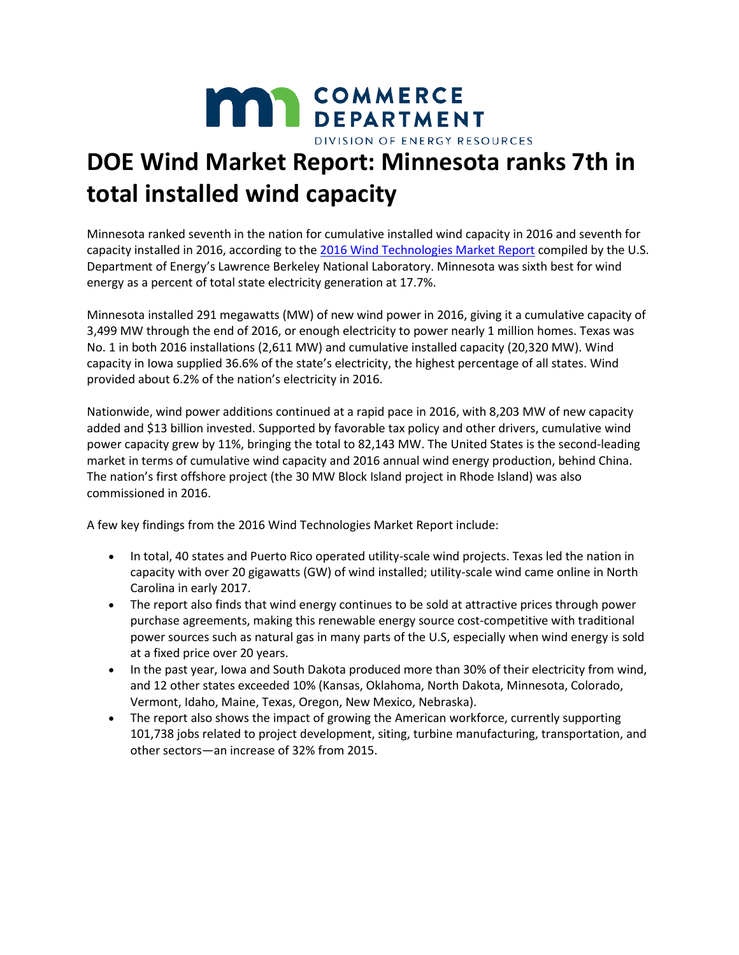

## **DOE Wind Market Report: Minnesota ranks 7th in total installed wind capacity**

Minnesota ranked seventh in the nation for cumulative installed wind capacity in 2016 and seventh for capacity installed in 2016, according to the [2016 Wind Technologies Market Report](https://energy.gov/sites/prod/files/2017/08/f35/2016_Wind_Technologies_Market_Report_0.pdf) compiled by the U.S. Department of Energy's Lawrence Berkeley National Laboratory. Minnesota was sixth best for wind energy as a percent of total state electricity generation at 17.7%.

Minnesota installed 291 megawatts (MW) of new wind power in 2016, giving it a cumulative capacity of 3,499 MW through the end of 2016, or enough electricity to power nearly 1 million homes. Texas was No. 1 in both 2016 installations (2,611 MW) and cumulative installed capacity (20,320 MW). Wind capacity in Iowa supplied 36.6% of the state's electricity, the highest percentage of all states. Wind provided about 6.2% of the nation's electricity in 2016.

Nationwide, wind power additions continued at a rapid pace in 2016, with 8,203 MW of new capacity added and \$13 billion invested. Supported by favorable tax policy and other drivers, cumulative wind power capacity grew by 11%, bringing the total to 82,143 MW. The United States is the second-leading market in terms of cumulative wind capacity and 2016 annual wind energy production, behind China. The nation's first offshore project (the 30 MW Block Island project in Rhode Island) was also commissioned in 2016.

A few key findings from the 2016 Wind Technologies Market Report include:

- In total, 40 states and Puerto Rico operated utility-scale wind projects. Texas led the nation in capacity with over 20 gigawatts (GW) of wind installed; utility-scale wind came online in North Carolina in early 2017.
- The report also finds that wind energy continues to be sold at attractive prices through power purchase agreements, making this renewable energy source cost-competitive with traditional power sources such as natural gas in many parts of the U.S, especially when wind energy is sold at a fixed price over 20 years.
- In the past year, Iowa and South Dakota produced more than 30% of their electricity from wind, and 12 other states exceeded 10% (Kansas, Oklahoma, North Dakota, Minnesota, Colorado, Vermont, Idaho, Maine, Texas, Oregon, New Mexico, Nebraska).
- The report also shows the impact of growing the American workforce, currently supporting 101,738 jobs related to project development, siting, turbine manufacturing, transportation, and other sectors—an increase of 32% from 2015.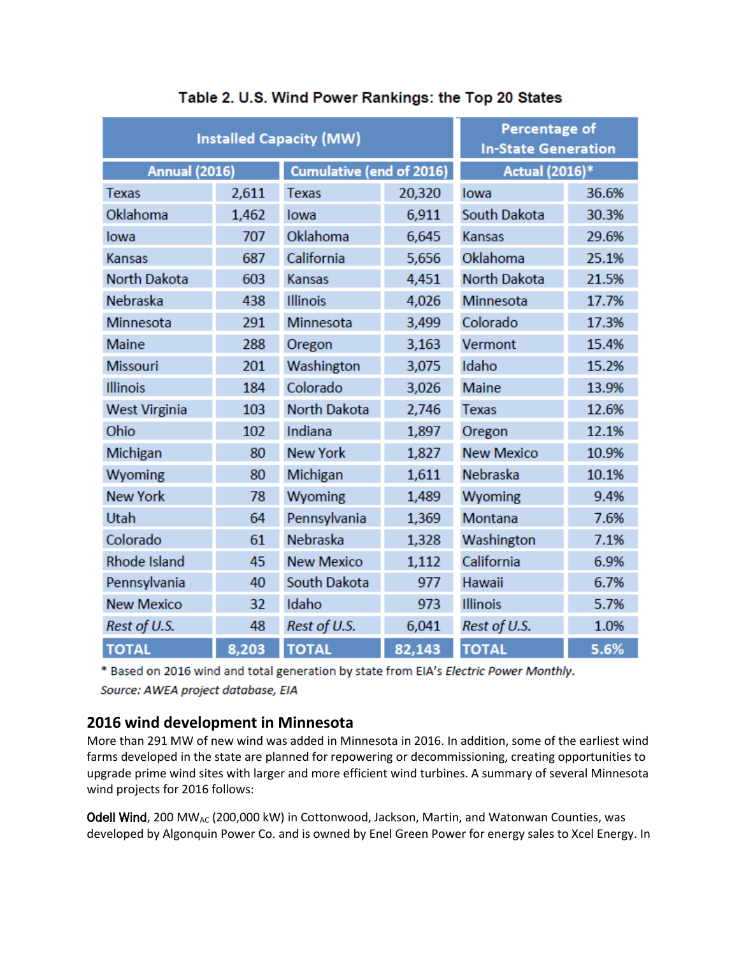| <b>Installed Capacity (MW)</b> |       |                                 |        | <b>Percentage of</b><br><b>In-State Generation</b> |       |
|--------------------------------|-------|---------------------------------|--------|----------------------------------------------------|-------|
| <b>Annual (2016)</b>           |       | <b>Cumulative (end of 2016)</b> |        | Actual (2016)*                                     |       |
| <b>Texas</b>                   | 2,611 | <b>Texas</b>                    | 20,320 | lowa                                               | 36.6% |
| Oklahoma                       | 1,462 | lowa                            | 6,911  | South Dakota                                       | 30.3% |
| lowa                           | 707   | Oklahoma                        | 6,645  | <b>Kansas</b>                                      | 29.6% |
| <b>Kansas</b>                  | 687   | California                      | 5,656  | Oklahoma                                           | 25.1% |
| <b>North Dakota</b>            | 603   | <b>Kansas</b>                   | 4,451  | <b>North Dakota</b>                                | 21.5% |
| Nebraska                       | 438   | <b>Illinois</b>                 | 4,026  | <b>Minnesota</b>                                   | 17.7% |
| <b>Minnesota</b>               | 291   | Minnesota                       | 3,499  | Colorado                                           | 17.3% |
| <b>Maine</b>                   | 288   | Oregon                          | 3,163  | Vermont                                            | 15.4% |
| <b>Missouri</b>                | 201   | Washington                      | 3,075  | Idaho                                              | 15.2% |
| <b>Illinois</b>                | 184   | Colorado                        | 3,026  | <b>Maine</b>                                       | 13.9% |
| <b>West Virginia</b>           | 103   | <b>North Dakota</b>             | 2,746  | <b>Texas</b>                                       | 12.6% |
| Ohio                           | 102   | Indiana                         | 1,897  | Oregon                                             | 12.1% |
| Michigan                       | 80    | <b>New York</b>                 | 1,827  | <b>New Mexico</b>                                  | 10.9% |
| Wyoming                        | 80    | Michigan                        | 1,611  | Nebraska                                           | 10.1% |
| <b>New York</b>                | 78    | Wyoming                         | 1,489  | Wyoming                                            | 9.4%  |
| Utah                           | 64    | Pennsylvania                    | 1,369  | Montana                                            | 7.6%  |
| Colorado                       | 61    | Nebraska                        | 1,328  | Washington                                         | 7.1%  |
| <b>Rhode Island</b>            | 45    | <b>New Mexico</b>               | 1,112  | California                                         | 6.9%  |
| Pennsylvania                   | 40    | South Dakota                    | 977    | Hawaii                                             | 6.7%  |
| <b>New Mexico</b>              | 32    | Idaho                           | 973    | Illinois                                           | 5.7%  |
| Rest of U.S.                   | 48    | Rest of U.S.                    | 6,041  | Rest of U.S.                                       | 1.0%  |
| <b>TOTAL</b>                   | 8,203 | <b>TOTAL</b>                    | 82,143 | <b>TOTAL</b>                                       | 5.6%  |

## Table 2. U.S. Wind Power Rankings: the Top 20 States

\* Based on 2016 wind and total generation by state from EIA's Electric Power Monthly. Source: AWEA project database, EIA

## **2016 wind development in Minnesota**

More than 291 MW of new wind was added in Minnesota in 2016. In addition, some of the earliest wind farms developed in the state are planned for repowering or decommissioning, creating opportunities to upgrade prime wind sites with larger and more efficient wind turbines. A summary of several Minnesota wind projects for 2016 follows:

Odell Wind, 200 MW<sub>AC</sub> (200,000 kW) in Cottonwood, Jackson, Martin, and Watonwan Counties, was developed by Algonquin Power Co. and is owned by Enel Green Power for energy sales to Xcel Energy. In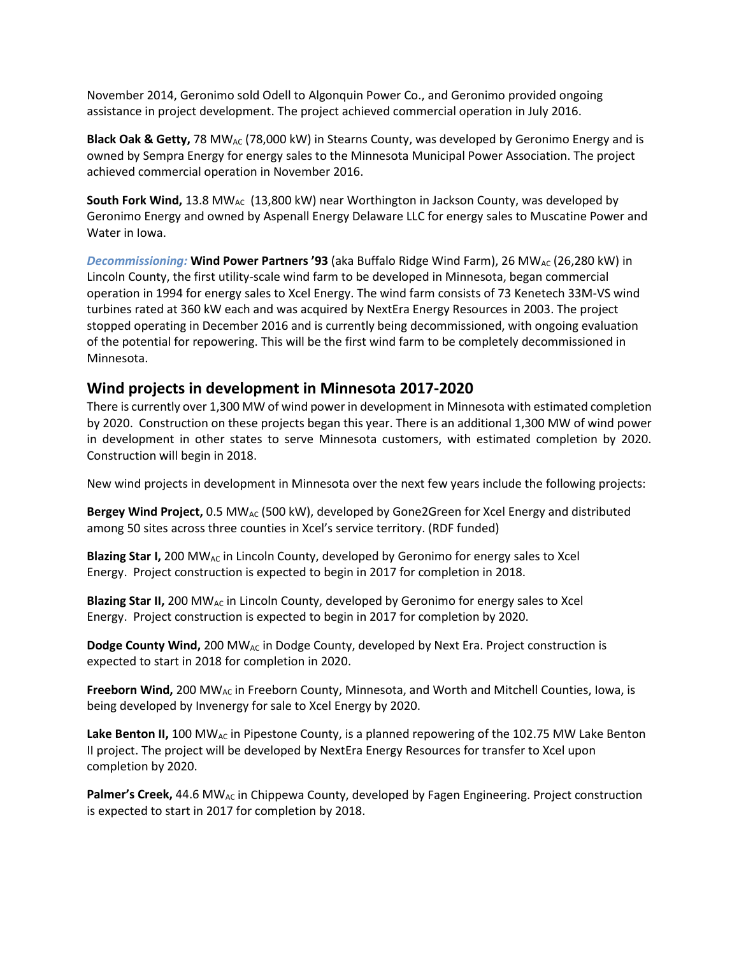November 2014, Geronimo sold Odell to Algonquin Power Co., and Geronimo provided ongoing assistance in project development. The project achieved commercial operation in July 2016.

**Black Oak & Getty, 78 MW<sub>AC</sub> (78,000 kW)** in Stearns County, was developed by Geronimo Energy and is owned by Sempra Energy for energy sales to the Minnesota Municipal Power Association. The project achieved commercial operation in November 2016.

**South Fork Wind, 13.8 MW<sub>AC</sub>** (13,800 kW) near Worthington in Jackson County, was developed by Geronimo Energy and owned by Aspenall Energy Delaware LLC for energy sales to Muscatine Power and Water in Iowa.

**Decommissioning: Wind Power Partners '93** (aka Buffalo Ridge Wind Farm), 26 MW<sub>AC</sub> (26,280 kW) in Lincoln County, the first utility-scale wind farm to be developed in Minnesota, began commercial operation in 1994 for energy sales to Xcel Energy. The wind farm consists of 73 Kenetech 33M-VS wind turbines rated at 360 kW each and was acquired by NextEra Energy Resources in 2003. The project stopped operating in December 2016 and is currently being decommissioned, with ongoing evaluation of the potential for repowering. This will be the first wind farm to be completely decommissioned in Minnesota.

## **Wind projects in development in Minnesota 2017-2020**

There is currently over 1,300 MW of wind power in development in Minnesota with estimated completion by 2020. Construction on these projects began this year. There is an additional 1,300 MW of wind power in development in other states to serve Minnesota customers, with estimated completion by 2020. Construction will begin in 2018.

New wind projects in development in Minnesota over the next few years include the following projects:

**Bergey Wind Project,** 0.5 MW<sub>AC</sub> (500 kW), developed by Gone2Green for Xcel Energy and distributed among 50 sites across three counties in Xcel's service territory. (RDF funded)

**Blazing Star I,** 200 MW<sub>AC</sub> in Lincoln County, developed by Geronimo for energy sales to Xcel Energy. Project construction is expected to begin in 2017 for completion in 2018.

**Blazing Star II,** 200 MW<sub>AC</sub> in Lincoln County, developed by Geronimo for energy sales to Xcel Energy. Project construction is expected to begin in 2017 for completion by 2020.

**Dodge County Wind,** 200 MW<sub>AC</sub> in Dodge County, developed by Next Era. Project construction is expected to start in 2018 for completion in 2020.

**Freeborn Wind,** 200 MWAC in Freeborn County, Minnesota, and Worth and Mitchell Counties, Iowa, is being developed by Invenergy for sale to Xcel Energy by 2020.

**Lake Benton II,** 100 MW<sub>AC</sub> in Pipestone County, is a planned repowering of the 102.75 MW Lake Benton II project. The project will be developed by NextEra Energy Resources for transfer to Xcel upon completion by 2020.

Palmer's Creek, 44.6 MW<sub>AC</sub> in Chippewa County, developed by Fagen Engineering. Project construction is expected to start in 2017 for completion by 2018.